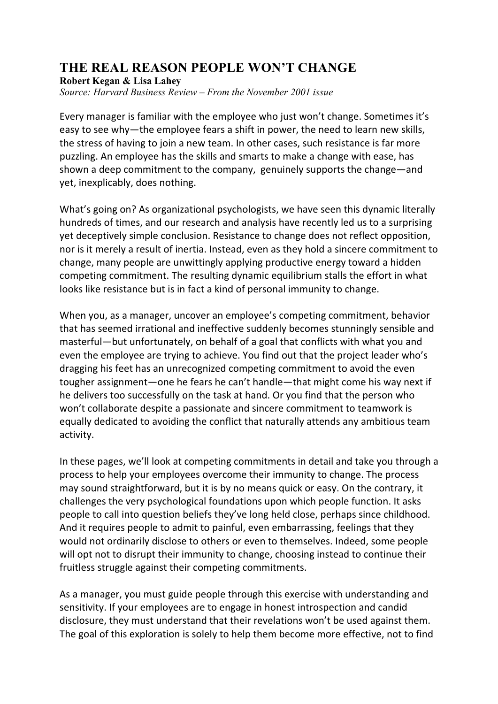# **THE REAL REASON PEOPLE WON'T CHANGE**

**Robert Kegan & Lisa Lahey** *Source: Harvard Business Review – From the November 2001 issue*

Every manager is familiar with the employee who just won't change. Sometimes it's easy to see why—the employee fears a shift in power, the need to learn new skills, the stress of having to join a new team. In other cases, such resistance is far more puzzling. An employee has the skills and smarts to make a change with ease, has shown a deep commitment to the company, genuinely supports the change—and yet, inexplicably, does nothing.

What's going on? As organizational psychologists, we have seen this dynamic literally hundreds of times, and our research and analysis have recently led us to a surprising yet deceptively simple conclusion. Resistance to change does not reflect opposition, nor is it merely a result of inertia. Instead, even as they hold a sincere commitment to change, many people are unwittingly applying productive energy toward a hidden competing commitment. The resulting dynamic equilibrium stalls the effort in what looks like resistance but is in fact a kind of personal immunity to change.

When you, as a manager, uncover an employee's competing commitment, behavior that has seemed irrational and ineffective suddenly becomes stunningly sensible and masterful—but unfortunately, on behalf of a goal that conflicts with what you and even the employee are trying to achieve. You find out that the project leader who's dragging his feet has an unrecognized competing commitment to avoid the even tougher assignment—one he fears he can't handle—that might come his way next if he delivers too successfully on the task at hand. Or you find that the person who won't collaborate despite a passionate and sincere commitment to teamwork is equally dedicated to avoiding the conflict that naturally attends any ambitious team activity.

In these pages, we'll look at competing commitments in detail and take you through a process to help your employees overcome their immunity to change. The process may sound straightforward, but it is by no means quick or easy. On the contrary, it challenges the very psychological foundations upon which people function. It asks people to call into question beliefs they've long held close, perhaps since childhood. And it requires people to admit to painful, even embarrassing, feelings that they would not ordinarily disclose to others or even to themselves. Indeed, some people will opt not to disrupt their immunity to change, choosing instead to continue their fruitless struggle against their competing commitments.

As a manager, you must guide people through this exercise with understanding and sensitivity. If your employees are to engage in honest introspection and candid disclosure, they must understand that their revelations won't be used against them. The goal of this exploration is solely to help them become more effective, not to find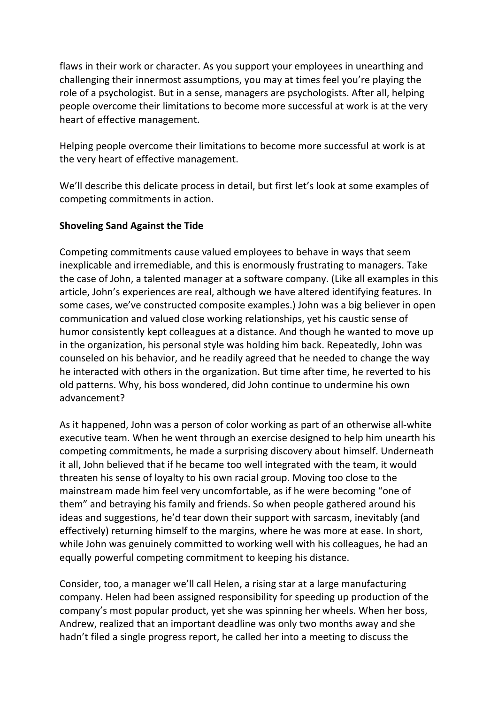flaws in their work or character. As you support your employees in unearthing and challenging their innermost assumptions, you may at times feel you're playing the role of a psychologist. But in a sense, managers are psychologists. After all, helping people overcome their limitations to become more successful at work is at the very heart of effective management.

Helping people overcome their limitations to become more successful at work is at the very heart of effective management.

We'll describe this delicate process in detail, but first let's look at some examples of competing commitments in action.

# **Shoveling Sand Against the Tide**

Competing commitments cause valued employees to behave in ways that seem inexplicable and irremediable, and this is enormously frustrating to managers. Take the case of John, a talented manager at a software company. (Like all examples in this article, John's experiences are real, although we have altered identifying features. In some cases, we've constructed composite examples.) John was a big believer in open communication and valued close working relationships, yet his caustic sense of humor consistently kept colleagues at a distance. And though he wanted to move up in the organization, his personal style was holding him back. Repeatedly, John was counseled on his behavior, and he readily agreed that he needed to change the way he interacted with others in the organization. But time after time, he reverted to his old patterns. Why, his boss wondered, did John continue to undermine his own advancement?

As it happened, John was a person of color working as part of an otherwise all-white executive team. When he went through an exercise designed to help him unearth his competing commitments, he made a surprising discovery about himself. Underneath it all, John believed that if he became too well integrated with the team, it would threaten his sense of loyalty to his own racial group. Moving too close to the mainstream made him feel very uncomfortable, as if he were becoming "one of them" and betraying his family and friends. So when people gathered around his ideas and suggestions, he'd tear down their support with sarcasm, inevitably (and effectively) returning himself to the margins, where he was more at ease. In short, while John was genuinely committed to working well with his colleagues, he had an equally powerful competing commitment to keeping his distance.

Consider, too, a manager we'll call Helen, a rising star at a large manufacturing company. Helen had been assigned responsibility for speeding up production of the company's most popular product, yet she was spinning her wheels. When her boss, Andrew, realized that an important deadline was only two months away and she hadn't filed a single progress report, he called her into a meeting to discuss the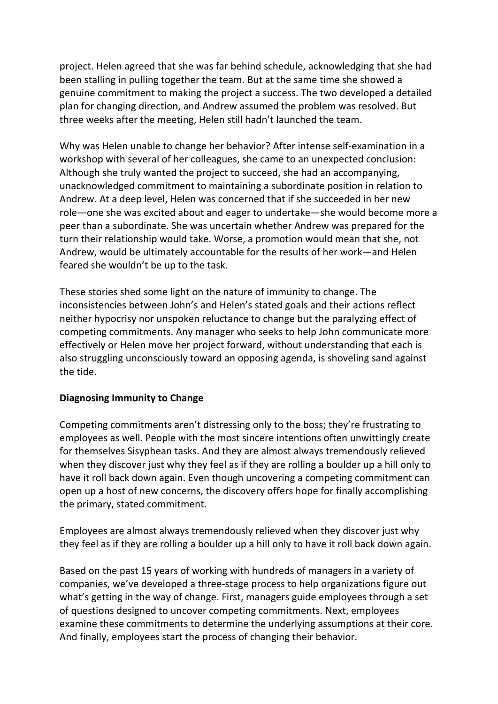project. Helen agreed that she was far behind schedule, acknowledging that she had been stalling in pulling together the team. But at the same time she showed a genuine commitment to making the project a success. The two developed a detailed plan for changing direction, and Andrew assumed the problem was resolved. But three weeks after the meeting, Helen still hadn't launched the team.

Why was Helen unable to change her behavior? After intense self-examination in a workshop with several of her colleagues, she came to an unexpected conclusion: Although she truly wanted the project to succeed, she had an accompanying, unacknowledged commitment to maintaining a subordinate position in relation to Andrew. At a deep level, Helen was concerned that if she succeeded in her new role—one she was excited about and eager to undertake—she would become more a peer than a subordinate. She was uncertain whether Andrew was prepared for the turn their relationship would take. Worse, a promotion would mean that she, not Andrew, would be ultimately accountable for the results of her work—and Helen feared she wouldn't be up to the task.

These stories shed some light on the nature of immunity to change. The inconsistencies between John's and Helen's stated goals and their actions reflect neither hypocrisy nor unspoken reluctance to change but the paralyzing effect of competing commitments. Any manager who seeks to help John communicate more effectively or Helen move her project forward, without understanding that each is also struggling unconsciously toward an opposing agenda, is shoveling sand against the tide.

## **Diagnosing Immunity to Change**

Competing commitments aren't distressing only to the boss; they're frustrating to employees as well. People with the most sincere intentions often unwittingly create for themselves Sisyphean tasks. And they are almost always tremendously relieved when they discover just why they feel as if they are rolling a boulder up a hill only to have it roll back down again. Even though uncovering a competing commitment can open up a host of new concerns, the discovery offers hope for finally accomplishing the primary, stated commitment.

Employees are almost always tremendously relieved when they discover just why they feel as if they are rolling a boulder up a hill only to have it roll back down again.

Based on the past 15 years of working with hundreds of managers in a variety of companies, we've developed a three-stage process to help organizations figure out what's getting in the way of change. First, managers guide employees through a set of questions designed to uncover competing commitments. Next, employees examine these commitments to determine the underlying assumptions at their core. And finally, employees start the process of changing their behavior.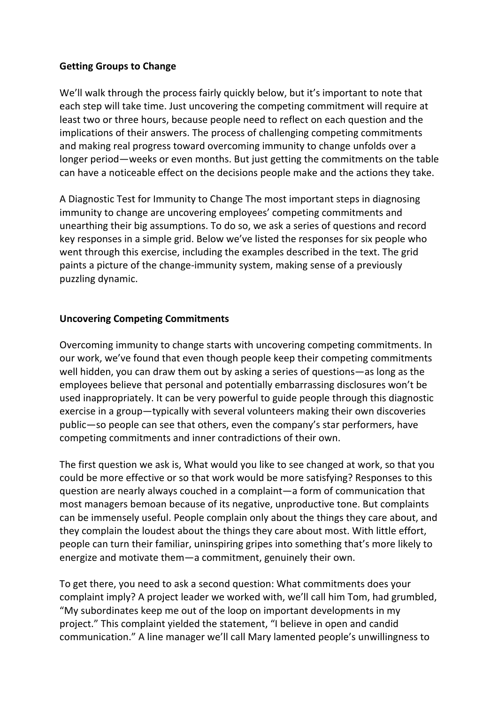#### **Getting Groups to Change**

We'll walk through the process fairly quickly below, but it's important to note that each step will take time. Just uncovering the competing commitment will require at least two or three hours, because people need to reflect on each question and the implications of their answers. The process of challenging competing commitments and making real progress toward overcoming immunity to change unfolds over a longer period—weeks or even months. But just getting the commitments on the table can have a noticeable effect on the decisions people make and the actions they take.

A Diagnostic Test for Immunity to Change The most important steps in diagnosing immunity to change are uncovering employees' competing commitments and unearthing their big assumptions. To do so, we ask a series of questions and record key responses in a simple grid. Below we've listed the responses for six people who went through this exercise, including the examples described in the text. The grid paints a picture of the change-immunity system, making sense of a previously puzzling dynamic.

#### **Uncovering Competing Commitments**

Overcoming immunity to change starts with uncovering competing commitments. In our work, we've found that even though people keep their competing commitments well hidden, you can draw them out by asking a series of questions—as long as the employees believe that personal and potentially embarrassing disclosures won't be used inappropriately. It can be very powerful to guide people through this diagnostic exercise in a group—typically with several volunteers making their own discoveries public—so people can see that others, even the company's star performers, have competing commitments and inner contradictions of their own.

The first question we ask is, What would you like to see changed at work, so that you could be more effective or so that work would be more satisfying? Responses to this question are nearly always couched in a complaint—a form of communication that most managers bemoan because of its negative, unproductive tone. But complaints can be immensely useful. People complain only about the things they care about, and they complain the loudest about the things they care about most. With little effort, people can turn their familiar, uninspiring gripes into something that's more likely to energize and motivate them—a commitment, genuinely their own.

To get there, you need to ask a second question: What commitments does your complaint imply? A project leader we worked with, we'll call him Tom, had grumbled, "My subordinates keep me out of the loop on important developments in my project." This complaint yielded the statement, "I believe in open and candid communication." A line manager we'll call Mary lamented people's unwillingness to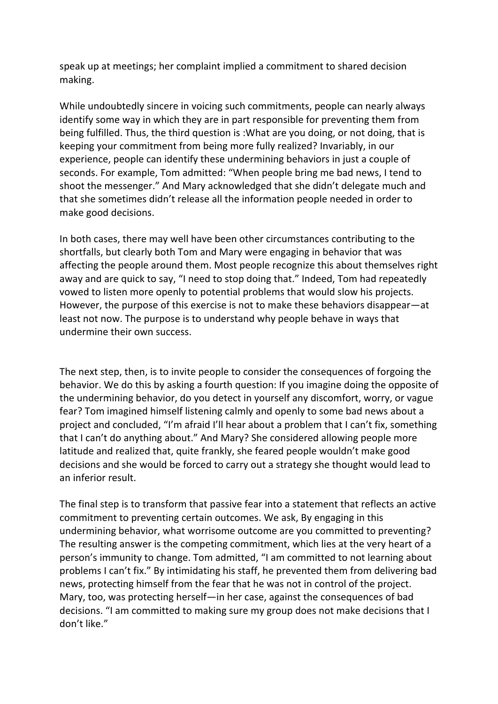speak up at meetings; her complaint implied a commitment to shared decision making.

While undoubtedly sincere in voicing such commitments, people can nearly always identify some way in which they are in part responsible for preventing them from being fulfilled. Thus, the third question is :What are you doing, or not doing, that is keeping your commitment from being more fully realized? Invariably, in our experience, people can identify these undermining behaviors in just a couple of seconds. For example, Tom admitted: "When people bring me bad news, I tend to shoot the messenger." And Mary acknowledged that she didn't delegate much and that she sometimes didn't release all the information people needed in order to make good decisions.

In both cases, there may well have been other circumstances contributing to the shortfalls, but clearly both Tom and Mary were engaging in behavior that was affecting the people around them. Most people recognize this about themselves right away and are quick to say, "I need to stop doing that." Indeed, Tom had repeatedly vowed to listen more openly to potential problems that would slow his projects. However, the purpose of this exercise is not to make these behaviors disappear—at least not now. The purpose is to understand why people behave in ways that undermine their own success.

The next step, then, is to invite people to consider the consequences of forgoing the behavior. We do this by asking a fourth question: If you imagine doing the opposite of the undermining behavior, do you detect in yourself any discomfort, worry, or vague fear? Tom imagined himself listening calmly and openly to some bad news about a project and concluded, "I'm afraid I'll hear about a problem that I can't fix, something that I can't do anything about." And Mary? She considered allowing people more latitude and realized that, quite frankly, she feared people wouldn't make good decisions and she would be forced to carry out a strategy she thought would lead to an inferior result.

The final step is to transform that passive fear into a statement that reflects an active commitment to preventing certain outcomes. We ask, By engaging in this undermining behavior, what worrisome outcome are you committed to preventing? The resulting answer is the competing commitment, which lies at the very heart of a person's immunity to change. Tom admitted, "I am committed to not learning about problems I can't fix." By intimidating his staff, he prevented them from delivering bad news, protecting himself from the fear that he was not in control of the project. Mary, too, was protecting herself—in her case, against the consequences of bad decisions. "I am committed to making sure my group does not make decisions that I don't like."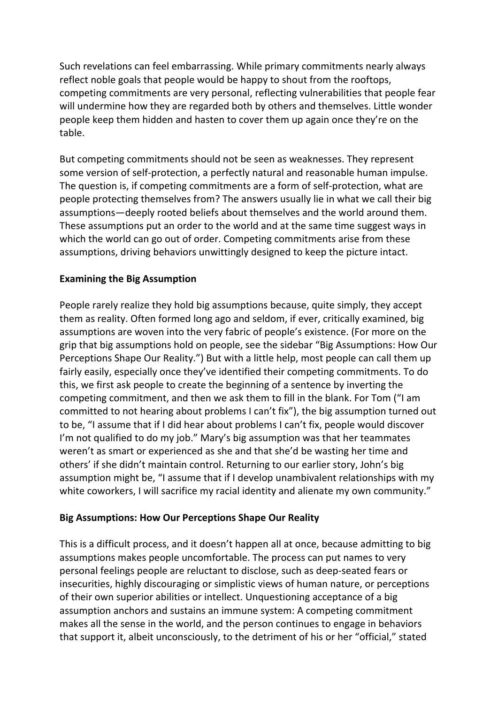Such revelations can feel embarrassing. While primary commitments nearly always reflect noble goals that people would be happy to shout from the rooftops, competing commitments are very personal, reflecting vulnerabilities that people fear will undermine how they are regarded both by others and themselves. Little wonder people keep them hidden and hasten to cover them up again once they're on the table.

But competing commitments should not be seen as weaknesses. They represent some version of self-protection, a perfectly natural and reasonable human impulse. The question is, if competing commitments are a form of self-protection, what are people protecting themselves from? The answers usually lie in what we call their big assumptions—deeply rooted beliefs about themselves and the world around them. These assumptions put an order to the world and at the same time suggest ways in which the world can go out of order. Competing commitments arise from these assumptions, driving behaviors unwittingly designed to keep the picture intact.

# **Examining the Big Assumption**

People rarely realize they hold big assumptions because, quite simply, they accept them as reality. Often formed long ago and seldom, if ever, critically examined, big assumptions are woven into the very fabric of people's existence. (For more on the grip that big assumptions hold on people, see the sidebar "Big Assumptions: How Our Perceptions Shape Our Reality.") But with a little help, most people can call them up fairly easily, especially once they've identified their competing commitments. To do this, we first ask people to create the beginning of a sentence by inverting the competing commitment, and then we ask them to fill in the blank. For Tom ("I am committed to not hearing about problems I can't fix"), the big assumption turned out to be, "I assume that if I did hear about problems I can't fix, people would discover I'm not qualified to do my job." Mary's big assumption was that her teammates weren't as smart or experienced as she and that she'd be wasting her time and others' if she didn't maintain control. Returning to our earlier story, John's big assumption might be, "I assume that if I develop unambivalent relationships with my white coworkers, I will sacrifice my racial identity and alienate my own community."

## **Big Assumptions: How Our Perceptions Shape Our Reality**

This is a difficult process, and it doesn't happen all at once, because admitting to big assumptions makes people uncomfortable. The process can put names to very personal feelings people are reluctant to disclose, such as deep-seated fears or insecurities, highly discouraging or simplistic views of human nature, or perceptions of their own superior abilities or intellect. Unquestioning acceptance of a big assumption anchors and sustains an immune system: A competing commitment makes all the sense in the world, and the person continues to engage in behaviors that support it, albeit unconsciously, to the detriment of his or her "official," stated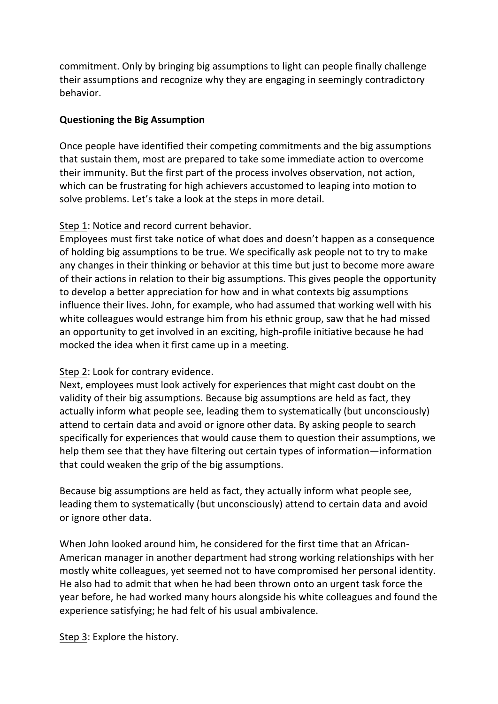commitment. Only by bringing big assumptions to light can people finally challenge their assumptions and recognize why they are engaging in seemingly contradictory behavior.

# **Questioning the Big Assumption**

Once people have identified their competing commitments and the big assumptions that sustain them, most are prepared to take some immediate action to overcome their immunity. But the first part of the process involves observation, not action, which can be frustrating for high achievers accustomed to leaping into motion to solve problems. Let's take a look at the steps in more detail.

# Step 1: Notice and record current behavior.

Employees must first take notice of what does and doesn't happen as a consequence of holding big assumptions to be true. We specifically ask people not to try to make any changes in their thinking or behavior at this time but just to become more aware of their actions in relation to their big assumptions. This gives people the opportunity to develop a better appreciation for how and in what contexts big assumptions influence their lives. John, for example, who had assumed that working well with his white colleagues would estrange him from his ethnic group, saw that he had missed an opportunity to get involved in an exciting, high-profile initiative because he had mocked the idea when it first came up in a meeting.

# Step 2: Look for contrary evidence.

Next, employees must look actively for experiences that might cast doubt on the validity of their big assumptions. Because big assumptions are held as fact, they actually inform what people see, leading them to systematically (but unconsciously) attend to certain data and avoid or ignore other data. By asking people to search specifically for experiences that would cause them to question their assumptions, we help them see that they have filtering out certain types of information—information that could weaken the grip of the big assumptions.

Because big assumptions are held as fact, they actually inform what people see, leading them to systematically (but unconsciously) attend to certain data and avoid or ignore other data.

When John looked around him, he considered for the first time that an African-American manager in another department had strong working relationships with her mostly white colleagues, yet seemed not to have compromised her personal identity. He also had to admit that when he had been thrown onto an urgent task force the year before, he had worked many hours alongside his white colleagues and found the experience satisfying; he had felt of his usual ambivalence.

Step 3: Explore the history.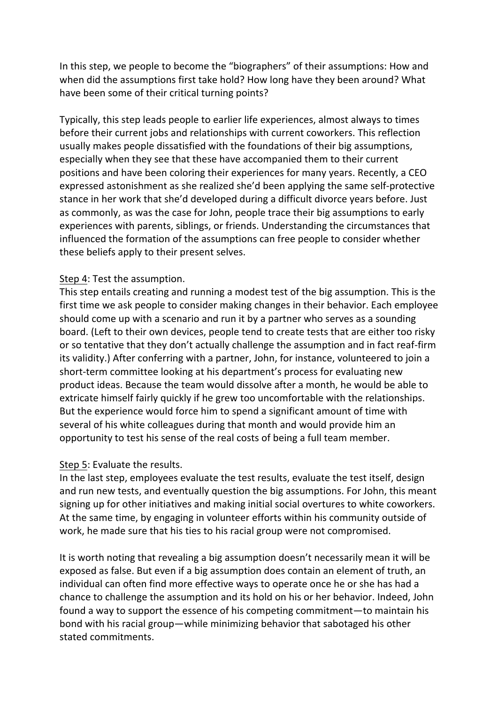In this step, we people to become the "biographers" of their assumptions: How and when did the assumptions first take hold? How long have they been around? What have been some of their critical turning points?

Typically, this step leads people to earlier life experiences, almost always to times before their current jobs and relationships with current coworkers. This reflection usually makes people dissatisfied with the foundations of their big assumptions, especially when they see that these have accompanied them to their current positions and have been coloring their experiences for many years. Recently, a CEO expressed astonishment as she realized she'd been applying the same self-protective stance in her work that she'd developed during a difficult divorce years before. Just as commonly, as was the case for John, people trace their big assumptions to early experiences with parents, siblings, or friends. Understanding the circumstances that influenced the formation of the assumptions can free people to consider whether these beliefs apply to their present selves.

## Step 4: Test the assumption.

This step entails creating and running a modest test of the big assumption. This is the first time we ask people to consider making changes in their behavior. Each employee should come up with a scenario and run it by a partner who serves as a sounding board. (Left to their own devices, people tend to create tests that are either too risky or so tentative that they don't actually challenge the assumption and in fact reaf-firm its validity.) After conferring with a partner, John, for instance, volunteered to join a short-term committee looking at his department's process for evaluating new product ideas. Because the team would dissolve after a month, he would be able to extricate himself fairly quickly if he grew too uncomfortable with the relationships. But the experience would force him to spend a significant amount of time with several of his white colleagues during that month and would provide him an opportunity to test his sense of the real costs of being a full team member.

#### Step 5: Evaluate the results.

In the last step, employees evaluate the test results, evaluate the test itself, design and run new tests, and eventually question the big assumptions. For John, this meant signing up for other initiatives and making initial social overtures to white coworkers. At the same time, by engaging in volunteer efforts within his community outside of work, he made sure that his ties to his racial group were not compromised.

It is worth noting that revealing a big assumption doesn't necessarily mean it will be exposed as false. But even if a big assumption does contain an element of truth, an individual can often find more effective ways to operate once he or she has had a chance to challenge the assumption and its hold on his or her behavior. Indeed, John found a way to support the essence of his competing commitment—to maintain his bond with his racial group—while minimizing behavior that sabotaged his other stated commitments.